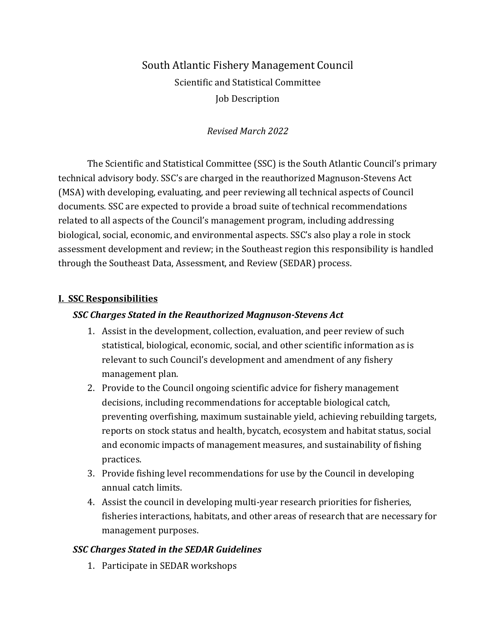# South Atlantic Fishery Management Council Scientific and Statistical Committee Job Description

# *Revised March 2022*

The Scientific and Statistical Committee (SSC) is the South Atlantic Council's primary technical advisory body. SSC's are charged in the reauthorized Magnuson-Stevens Act (MSA) with developing, evaluating, and peer reviewing all technical aspects of Council documents. SSC are expected to provide a broad suite of technical recommendations related to all aspects of the Council's management program, including addressing biological, social, economic, and environmental aspects. SSC's also play a role in stock assessment development and review; in the Southeast region this responsibility is handled through the Southeast Data, Assessment, and Review (SEDAR) process.

# **I. SSC Responsibilities**

### *SSC Charges Stated in the Reauthorized Magnuson-Stevens Act*

- 1. Assist in the development, collection, evaluation, and peer review of such statistical, biological, economic, social, and other scientific information as is relevant to such Council's development and amendment of any fishery management plan.
- 2. Provide to the Council ongoing scientific advice for fishery management decisions, including recommendations for acceptable biological catch, preventing overfishing, maximum sustainable yield, achieving rebuilding targets, reports on stock status and health, bycatch, ecosystem and habitat status, social and economic impacts of management measures, and sustainability of fishing practices.
- 3. Provide fishing level recommendations for use by the Council in developing annual catch limits.
- 4. Assist the council in developing multi-year research priorities for fisheries, fisheries interactions, habitats, and other areas of research that are necessary for management purposes.

# *SSC Charges Stated in the SEDAR Guidelines*

1. Participate in SEDAR workshops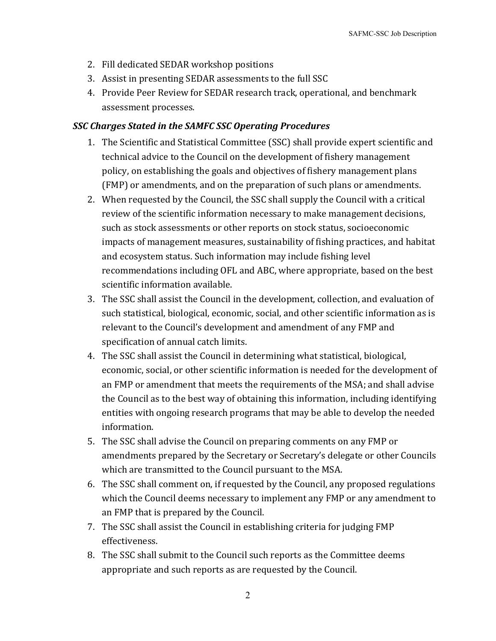- 2. Fill dedicated SEDAR workshop positions
- 3. Assist in presenting SEDAR assessments to the full SSC
- 4. Provide Peer Review for SEDAR research track, operational, and benchmark assessment processes.

### *SSC Charges Stated in the SAMFC SSC Operating Procedures*

- 1. The Scientific and Statistical Committee (SSC) shall provide expert scientific and technical advice to the Council on the development of fishery management policy, on establishing the goals and objectives of fishery management plans (FMP) or amendments, and on the preparation of such plans or amendments.
- 2. When requested by the Council, the SSC shall supply the Council with a critical review of the scientific information necessary to make management decisions, such as stock assessments or other reports on stock status, socioeconomic impacts of management measures, sustainability of fishing practices, and habitat and ecosystem status. Such information may include fishing level recommendations including OFL and ABC, where appropriate, based on the best scientific information available.
- 3. The SSC shall assist the Council in the development, collection, and evaluation of such statistical, biological, economic, social, and other scientific information as is relevant to the Council's development and amendment of any FMP and specification of annual catch limits.
- 4. The SSC shall assist the Council in determining what statistical, biological, economic, social, or other scientific information is needed for the development of an FMP or amendment that meets the requirements of the MSA; and shall advise the Council as to the best way of obtaining this information, including identifying entities with ongoing research programs that may be able to develop the needed information.
- 5. The SSC shall advise the Council on preparing comments on any FMP or amendments prepared by the Secretary or Secretary's delegate or other Councils which are transmitted to the Council pursuant to the MSA.
- 6. The SSC shall comment on, if requested by the Council, any proposed regulations which the Council deems necessary to implement any FMP or any amendment to an FMP that is prepared by the Council.
- 7. The SSC shall assist the Council in establishing criteria for judging FMP effectiveness.
- 8. The SSC shall submit to the Council such reports as the Committee deems appropriate and such reports as are requested by the Council.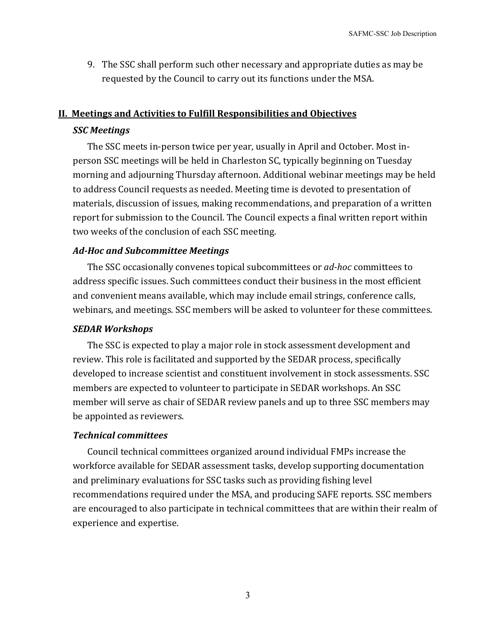9. The SSC shall perform such other necessary and appropriate duties as may be requested by the Council to carry out its functions under the MSA.

#### **II. Meetings and Activities to Fulfill Responsibilities and Objectives**

#### *SSC Meetings*

The SSC meets in-person twice per year, usually in April and October. Most inperson SSC meetings will be held in Charleston SC, typically beginning on Tuesday morning and adjourning Thursday afternoon. Additional webinar meetings may be held to address Council requests as needed. Meeting time is devoted to presentation of materials, discussion of issues, making recommendations, and preparation of a written report for submission to the Council. The Council expects a final written report within two weeks of the conclusion of each SSC meeting.

### *Ad-Hoc and Subcommittee Meetings*

The SSC occasionally convenes topical subcommittees or *ad-hoc* committees to address specific issues. Such committees conduct their business in the most efficient and convenient means available, which may include email strings, conference calls, webinars, and meetings. SSC members will be asked to volunteer for these committees.

#### *SEDAR Workshops*

The SSC is expected to play a major role in stock assessment development and review. This role is facilitated and supported by the SEDAR process, specifically developed to increase scientist and constituent involvement in stock assessments. SSC members are expected to volunteer to participate in SEDAR workshops. An SSC member will serve as chair of SEDAR review panels and up to three SSC members may be appointed as reviewers.

#### *Technical committees*

Council technical committees organized around individual FMPs increase the workforce available for SEDAR assessment tasks, develop supporting documentation and preliminary evaluations for SSC tasks such as providing fishing level recommendations required under the MSA, and producing SAFE reports. SSC members are encouraged to also participate in technical committees that are within their realm of experience and expertise.

3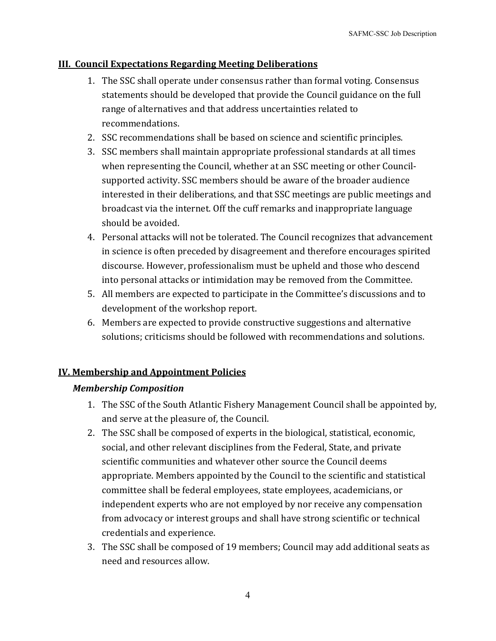### **III. Council Expectations Regarding Meeting Deliberations**

- 1. The SSC shall operate under consensus rather than formal voting. Consensus statements should be developed that provide the Council guidance on the full range of alternatives and that address uncertainties related to recommendations.
- 2. SSC recommendations shall be based on science and scientific principles.
- 3. SSC members shall maintain appropriate professional standards at all times when representing the Council, whether at an SSC meeting or other Councilsupported activity. SSC members should be aware of the broader audience interested in their deliberations, and that SSC meetings are public meetings and broadcast via the internet. Off the cuff remarks and inappropriate language should be avoided.
- 4. Personal attacks will not be tolerated. The Council recognizes that advancement in science is often preceded by disagreement and therefore encourages spirited discourse. However, professionalism must be upheld and those who descend into personal attacks or intimidation may be removed from the Committee.
- 5. All members are expected to participate in the Committee's discussions and to development of the workshop report.
- 6. Members are expected to provide constructive suggestions and alternative solutions; criticisms should be followed with recommendations and solutions.

# **IV. Membership and Appointment Policies**

### *Membership Composition*

- 1. The SSC of the South Atlantic Fishery Management Council shall be appointed by, and serve at the pleasure of, the Council.
- 2. The SSC shall be composed of experts in the biological, statistical, economic, social, and other relevant disciplines from the Federal, State, and private scientific communities and whatever other source the Council deems appropriate. Members appointed by the Council to the scientific and statistical committee shall be federal employees, state employees, academicians, or independent experts who are not employed by nor receive any compensation from advocacy or interest groups and shall have strong scientific or technical credentials and experience.
- 3. The SSC shall be composed of 19 members; Council may add additional seats as need and resources allow.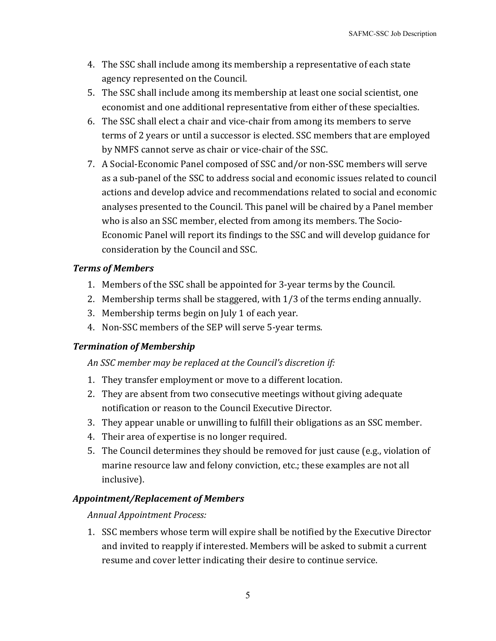- 4. The SSC shall include among its membership a representative of each state agency represented on the Council.
- 5. The SSC shall include among its membership at least one social scientist, one economist and one additional representative from either of these specialties.
- 6. The SSC shall elect a chair and vice-chair from among its members to serve terms of 2 years or until a successor is elected. SSC members that are employed by NMFS cannot serve as chair or vice-chair of the SSC.
- 7. A Social-Economic Panel composed of SSC and/or non-SSC members will serve as a sub-panel of the SSC to address social and economic issues related to council actions and develop advice and recommendations related to social and economic analyses presented to the Council. This panel will be chaired by a Panel member who is also an SSC member, elected from among its members. The Socio-Economic Panel will report its findings to the SSC and will develop guidance for consideration by the Council and SSC.

### *Terms of Members*

- 1. Members of the SSC shall be appointed for 3-year terms by the Council.
- 2. Membership terms shall be staggered, with 1/3 of the terms ending annually.
- 3. Membership terms begin on July 1 of each year.
- 4. Non-SSC members of the SEP will serve 5-year terms.

# *Termination of Membership*

# *An SSC member may be replaced at the Council's discretion if:*

- 1. They transfer employment or move to a different location.
- 2. They are absent from two consecutive meetings without giving adequate notification or reason to the Council Executive Director.
- 3. They appear unable or unwilling to fulfill their obligations as an SSC member.
- 4. Their area of expertise is no longer required.
- 5. The Council determines they should be removed for just cause (e.g., violation of marine resource law and felony conviction, etc.; these examples are not all inclusive).

# *Appointment/Replacement of Members*

*Annual Appointment Process:*

1. SSC members whose term will expire shall be notified by the Executive Director and invited to reapply if interested. Members will be asked to submit a current resume and cover letter indicating their desire to continue service.